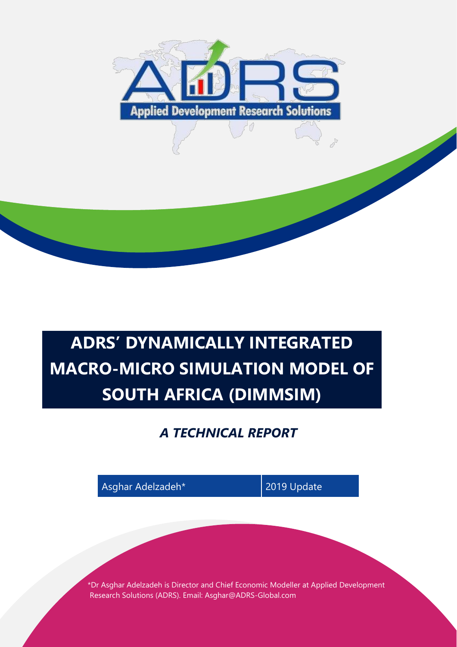

# **ADRS' DYNAMICALLY INTEGRATED MACRO-MICRO SIMULATION MODEL OF SOUTH AFRICA (DIMMSIM)**

# *A TECHNICAL REPORT*

Asghar Adelzadeh\* 2019 Update \*Dr Asghar Adelzadeh is Director and Chief Economic Modeller at Applied Development Research Solutions (ADRS). Email: Asghar@ADRS-Global.com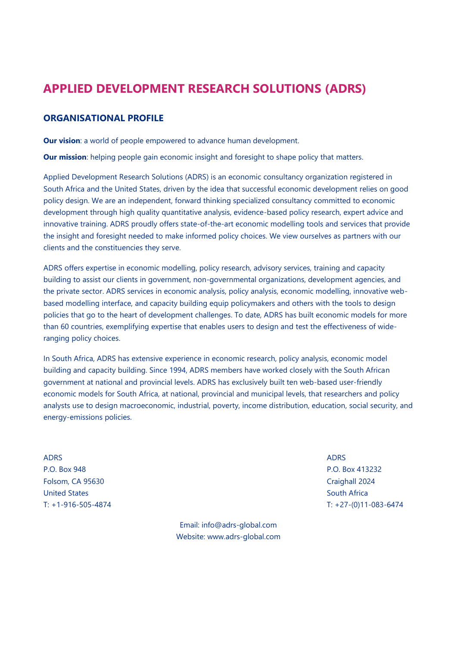# **APPLIED DEVELOPMENT RESEARCH SOLUTIONS (ADRS)**

#### **ORGANISATIONAL PROFILE**

**Our vision:** a world of people empowered to advance human development.

**Our mission**: helping people gain economic insight and foresight to shape policy that matters.

Applied Development Research Solutions (ADRS) is an economic consultancy organization registered in South Africa and the United States, driven by the idea that successful economic development relies on good policy design. We are an independent, forward thinking specialized consultancy committed to economic development through high quality quantitative analysis, evidence-based policy research, expert advice and innovative training. ADRS proudly offers state-of-the-art economic modelling tools and services that provide the insight and foresight needed to make informed policy choices. We view ourselves as partners with our clients and the constituencies they serve.

ADRS offers expertise in economic modelling, policy research, advisory services, training and capacity building to assist our clients in government, non-governmental organizations, development agencies, and the private sector. ADRS services in economic analysis, policy analysis, economic modelling, innovative webbased modelling interface, and capacity building equip policymakers and others with the tools to design policies that go to the heart of development challenges. To date, ADRS has built economic models for more than 60 countries, exemplifying expertise that enables users to design and test the effectiveness of wideranging policy choices.

In South Africa, ADRS has extensive experience in economic research, policy analysis, economic model building and capacity building. Since 1994, ADRS members have worked closely with the South African government at national and provincial levels. ADRS has exclusively built ten web-based user-friendly economic models for South Africa, at national, provincial and municipal levels, that researchers and policy analysts use to design macroeconomic, industrial, poverty, income distribution, education, social security, and energy-emissions policies.

ADRS AND ANNOUNCED A CHANNEL AND A CHANNEL AND A CHANNEL AND A CHANNEL AND A CHANNEL AND A CHANNEL AND A CHANNEL AND A CHANNEL AND A CHANNEL AND A CHANNEL AND A CHANNEL AND A CHANNEL AND A CHANNEL AND A CHANNEL AND A CHANN P.O. Box 948 P.O. Box 413232 Folsom, CA 95630 Craighall 2024 United States South Africa

> Email: info@adrs-global.com Website: www.adrs-global.com

T: +1-916-505-4874 T: +27-(0)11-083-6474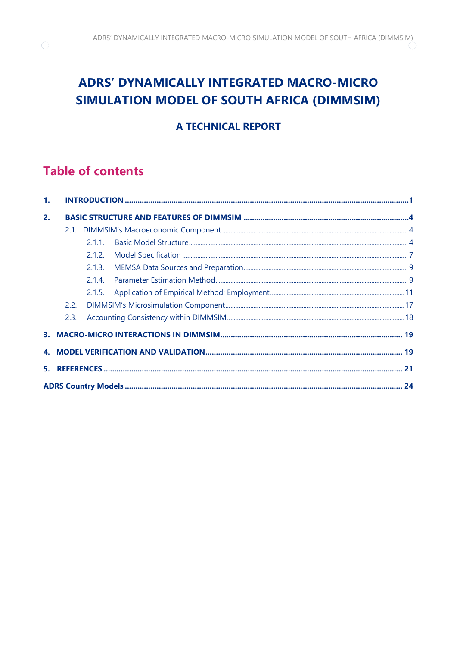# **ADRS' DYNAMICALLY INTEGRATED MACRO-MICRO** SIMULATION MODEL OF SOUTH AFRICA (DIMMSIM)

# **A TECHNICAL REPORT**

# **Table of contents**

 $\bigcirc$ 

| 2. |      |        |  |  |  |  |
|----|------|--------|--|--|--|--|
|    |      |        |  |  |  |  |
|    |      | 2.1.1  |  |  |  |  |
|    |      | 2.1.2. |  |  |  |  |
|    |      |        |  |  |  |  |
|    |      | 2.1.4. |  |  |  |  |
|    |      | 2.1.5. |  |  |  |  |
|    |      |        |  |  |  |  |
|    | 2.3. |        |  |  |  |  |
|    |      |        |  |  |  |  |
|    |      |        |  |  |  |  |
|    |      |        |  |  |  |  |
|    |      |        |  |  |  |  |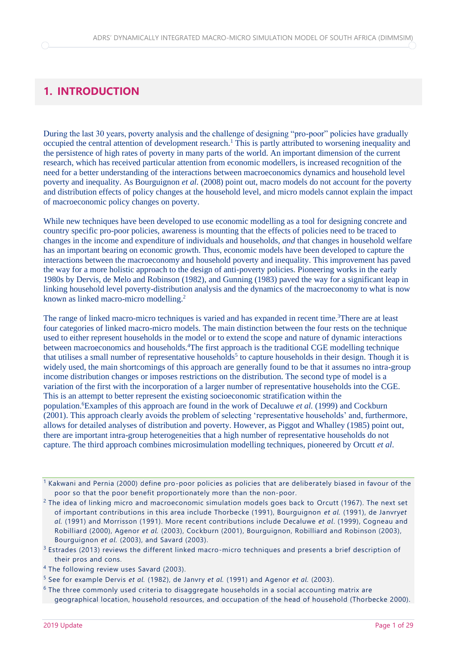# <span id="page-3-0"></span>**1. INTRODUCTION**

During the last 30 years, poverty analysis and the challenge of designing "pro-poor" policies have gradually occupied the central attention of development research.<sup>1</sup> This is partly attributed to worsening inequality and the persistence of high rates of poverty in many parts of the world. An important dimension of the current research, which has received particular attention from economic modellers, is increased recognition of the need for a better understanding of the interactions between macroeconomics dynamics and household level poverty and inequality. As Bourguignon *et al.* (2008) point out, macro models do not account for the poverty and distribution effects of policy changes at the household level, and micro models cannot explain the impact of macroeconomic policy changes on poverty.

While new techniques have been developed to use economic modelling as a tool for designing concrete and country specific pro-poor policies, awareness is mounting that the effects of policies need to be traced to changes in the income and expenditure of individuals and households, *and* that changes in household welfare has an important bearing on economic growth. Thus, economic models have been developed to capture the interactions between the macroeconomy and household poverty and inequality. This improvement has paved the way for a more holistic approach to the design of anti-poverty policies. Pioneering works in the early 1980s by Dervis, de Melo and Robinson (1982), and Gunning (1983) paved the way for a significant leap in linking household level poverty-distribution analysis and the dynamics of the macroeconomy to what is now known as linked macro-micro modelling.<sup>2</sup>

The range of linked macro-micro techniques is varied and has expanded in recent time.<sup>3</sup>There are at least four categories of linked macro-micro models. The main distinction between the four rests on the technique used to either represent households in the model or to extend the scope and nature of dynamic interactions between macroeconomics and households.<sup>4</sup>The first approach is the traditional CGE modelling technique that utilises a small number of representative households<sup>5</sup> to capture households in their design. Though it is widely used, the main shortcomings of this approach are generally found to be that it assumes no intra-group income distribution changes or imposes restrictions on the distribution. The second type of model is a variation of the first with the incorporation of a larger number of representative households into the CGE. This is an attempt to better represent the existing socioeconomic stratification within the population.<sup>6</sup>Examples of this approach are found in the work of Decaluwe *et al.* (1999) and Cockburn (2001). This approach clearly avoids the problem of selecting 'representative households' and, furthermore, allows for detailed analyses of distribution and poverty. However, as Piggot and Whalley (1985) point out, there are important intra-group heterogeneities that a high number of representative households do not capture. The third approach combines microsimulation modelling techniques, pioneered by Orcutt *et al*.

<sup>&</sup>lt;sup>1</sup> Kakwani and Pernia (2000) define pro-poor policies as policies that are deliberately biased in favour of the poor so that the poor benefit proportionately more than the non-poor.

 $<sup>2</sup>$  The idea of linking micro and macroeconomic simulation models goes back to Orcutt (1967). The next set</sup> of important contributions in this area include Thorbecke (1991), Bourguignon *et al.* (1991), de Janvry*et al.* (1991) and Morrisson (1991). More recent contributions include Decaluwe *et al*. (1999), Cogneau and Robilliard (2000), Agenor *et al.* (2003), Cockburn (2001), Bourguignon, Robilliard and Robinson (2003), Bourguignon *et al.* (2003), and Savard (2003).

 $3$  Estrades (2013) reviews the different linked macro-micro techniques and presents a brief description of their pros and cons.

<sup>4</sup> The following review uses Savard (2003).

<sup>5</sup> See for example Dervis *et al.* (1982), de Janvry *et al.* (1991) and Agenor *et al.* (2003).

 $6$  The three commonly used criteria to disaggregate households in a social accounting matrix are geographical location, household resources, and occupation of the head of household (Thorbecke 2000).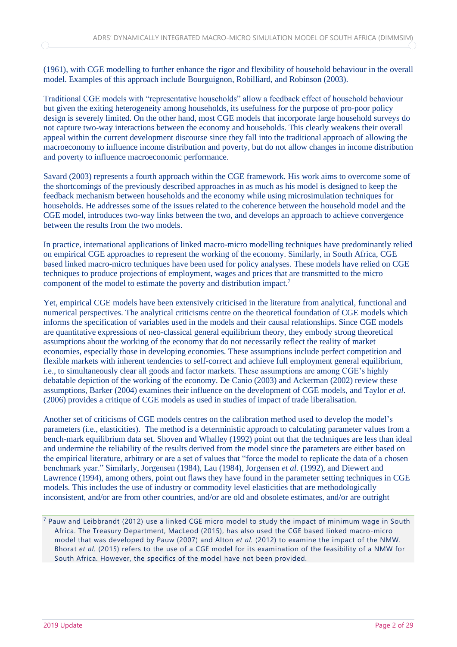#### (1961), with CGE modelling to further enhance the rigor and flexibility of household behaviour in the overall model. Examples of this approach include Bourguignon, Robilliard, and Robinson (2003).

Traditional CGE models with "representative households" allow a feedback effect of household behaviour but given the exiting heterogeneity among households, its usefulness for the purpose of pro-poor policy design is severely limited. On the other hand, most CGE models that incorporate large household surveys do not capture two-way interactions between the economy and households. This clearly weakens their overall appeal within the current development discourse since they fall into the traditional approach of allowing the macroeconomy to influence income distribution and poverty, but do not allow changes in income distribution and poverty to influence macroeconomic performance.

Savard (2003) represents a fourth approach within the CGE framework. His work aims to overcome some of the shortcomings of the previously described approaches in as much as his model is designed to keep the feedback mechanism between households and the economy while using microsimulation techniques for households. He addresses some of the issues related to the coherence between the household model and the CGE model, introduces two-way links between the two, and develops an approach to achieve convergence between the results from the two models.

In practice, international applications of linked macro-micro modelling techniques have predominantly relied on empirical CGE approaches to represent the working of the economy. Similarly, in South Africa, CGE based linked macro-micro techniques have been used for policy analyses. These models have relied on CGE techniques to produce projections of employment, wages and prices that are transmitted to the micro component of the model to estimate the poverty and distribution impact.<sup>7</sup>

Yet, empirical CGE models have been extensively criticised in the literature from analytical, functional and numerical perspectives. The analytical criticisms centre on the theoretical foundation of CGE models which informs the specification of variables used in the models and their causal relationships. Since CGE models are quantitative expressions of neo-classical general equilibrium theory, they embody strong theoretical assumptions about the working of the economy that do not necessarily reflect the reality of market economies, especially those in developing economies. These assumptions include perfect competition and flexible markets with inherent tendencies to self-correct and achieve full employment general equilibrium, i.e., to simultaneously clear all goods and factor markets. These assumptions are among CGE's highly debatable depiction of the working of the economy. De Canio (2003) and Ackerman (2002) review these assumptions, Barker (2004) examines their influence on the development of CGE models, and Taylor *et al.* (2006) provides a critique of CGE models as used in studies of impact of trade liberalisation.

Another set of criticisms of CGE models centres on the calibration method used to develop the model's parameters (i.e., elasticities). The method is a deterministic approach to calculating parameter values from a bench-mark equilibrium data set. Shoven and Whalley (1992) point out that the techniques are less than ideal and undermine the reliability of the results derived from the model since the parameters are either based on the empirical literature, arbitrary or are a set of values that "force the model to replicate the data of a chosen benchmark year." Similarly, Jorgensen (1984), Lau (1984), Jorgensen *et al.* (1992), and Diewert and Lawrence (1994), among others, point out flaws they have found in the parameter setting techniques in CGE models. This includes the use of industry or commodity level elasticities that are methodologically inconsistent, and/or are from other countries, and/or are old and obsolete estimates, and/or are outright

<sup>7</sup> Pauw and Leibbrandt (2012) use a linked CGE micro model to study the impact of minimum wage in South Africa. The Treasury Department, MacLeod (2015), has also used the CGE based linked macro-micro model that was developed by Pauw (2007) and Alton *et al.* (2012) to examine the impact of the NMW. Bhorat *et al.* (2015) refers to the use of a CGE model for its examination of the feasibility of a NMW for South Africa. However, the specifics of the model have not been provided.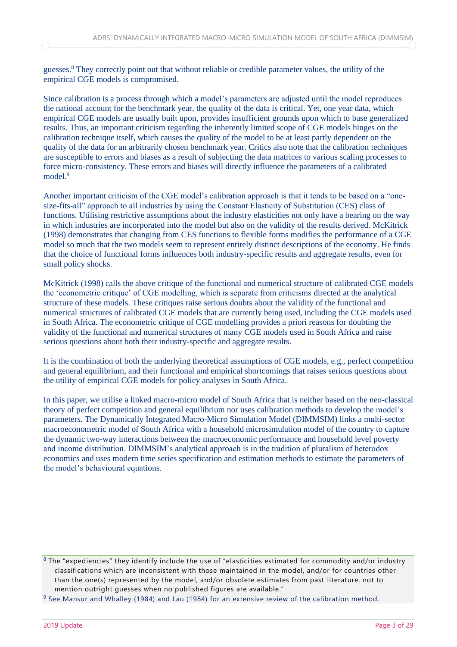guesses.<sup>8</sup> They correctly point out that without reliable or credible parameter values, the utility of the empirical CGE models is compromised.

Since calibration is a process through which a model's parameters are adjusted until the model reproduces the national account for the benchmark year, the quality of the data is critical. Yet, one year data, which empirical CGE models are usually built upon, provides insufficient grounds upon which to base generalized results. Thus, an important criticism regarding the inherently limited scope of CGE models hinges on the calibration technique itself, which causes the quality of the model to be at least partly dependent on the quality of the data for an arbitrarily chosen benchmark year. Critics also note that the calibration techniques are susceptible to errors and biases as a result of subjecting the data matrices to various scaling processes to force micro-consistency. These errors and biases will directly influence the parameters of a calibrated model.<sup>9</sup>

Another important criticism of the CGE model's calibration approach is that it tends to be based on a "onesize-fits-all" approach to all industries by using the Constant Elasticity of Substitution (CES) class of functions. Utilising restrictive assumptions about the industry elasticities not only have a bearing on the way in which industries are incorporated into the model but also on the validity of the results derived. McKitrick (1998) demonstrates that changing from CES functions to flexible forms modifies the performance of a CGE model so much that the two models seem to represent entirely distinct descriptions of the economy. He finds that the choice of functional forms influences both industry-specific results and aggregate results, even for small policy shocks.

McKitrick (1998) calls the above critique of the functional and numerical structure of calibrated CGE models the 'econometric critique' of CGE modelling, which is separate from criticisms directed at the analytical structure of these models. These critiques raise serious doubts about the validity of the functional and numerical structures of calibrated CGE models that are currently being used, including the CGE models used in South Africa. The econometric critique of CGE modelling provides a priori reasons for doubting the validity of the functional and numerical structures of many CGE models used in South Africa and raise serious questions about both their industry-specific and aggregate results.

It is the combination of both the underlying theoretical assumptions of CGE models, e.g., perfect competition and general equilibrium, and their functional and empirical shortcomings that raises serious questions about the utility of empirical CGE models for policy analyses in South Africa.

In this paper, we utilise a linked macro-micro model of South Africa that is neither based on the neo-classical theory of perfect competition and general equilibrium nor uses calibration methods to develop the model's parameters. The Dynamically Integrated Macro-Micro Simulation Model (DIMMSIM) links a multi-sector macroeconometric model of South Africa with a household microsimulation model of the country to capture the dynamic two-way interactions between the macroeconomic performance and household level poverty and income distribution. DIMMSIM's analytical approach is in the tradition of pluralism of heterodox economics and uses modern time series specification and estimation methods to estimate the parameters of the model's behavioural equations.

 $8$  The "expediencies" they identify include the use of "elasticities estimated for commodity and/or industry classifications which are inconsistent with those maintained in the model, and/or for countries other than the one(s) represented by the model, and/or obsolete estimates from past literature, not to mention outright guesses when no published figures are available."

 $9$  See Mansur and Whalley (1984) and Lau (1984) for an extensive review of the calibration method.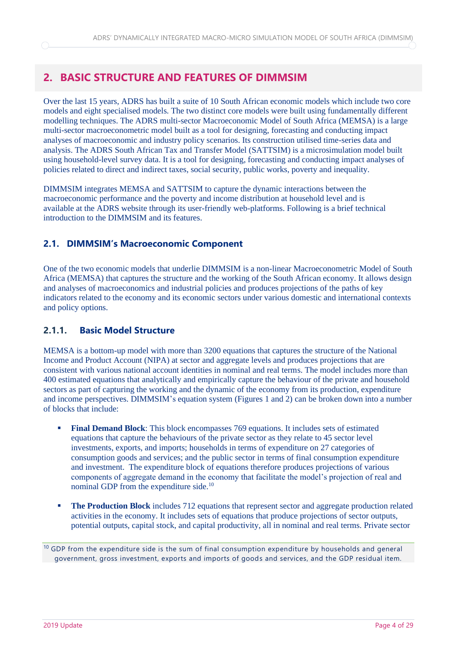# <span id="page-6-0"></span>**2. BASIC STRUCTURE AND FEATURES OF DIMMSIM**

Over the last 15 years, ADRS has built a suite of 10 South African economic models which include two core models and eight specialised models. The two distinct core models were built using fundamentally different modelling techniques. The ADRS multi-sector Macroeconomic Model of South Africa (MEMSA) is a large multi-sector macroeconometric model built as a tool for designing, forecasting and conducting impact analyses of macroeconomic and industry policy scenarios. Its construction utilised time-series data and analysis. The ADRS South African Tax and Transfer Model (SATTSIM) is a microsimulation model built using household-level survey data. It is a tool for designing, forecasting and conducting impact analyses of policies related to direct and indirect taxes, social security, public works, poverty and inequality.

DIMMSIM integrates MEMSA and SATTSIM to capture the dynamic interactions between the macroeconomic performance and the poverty and income distribution at household level and is available at the ADRS website through its user-friendly web-platforms. Following is a brief technical introduction to the DIMMSIM and its features.

## <span id="page-6-1"></span>**2.1. DIMMSIM's Macroeconomic Component**

One of the two economic models that underlie DIMMSIM is a non-linear Macroeconometric Model of South Africa (MEMSA) that captures the structure and the working of the South African economy. It allows design and analyses of macroeconomics and industrial policies and produces projections of the paths of key indicators related to the economy and its economic sectors under various domestic and international contexts and policy options.

#### <span id="page-6-2"></span>**2.1.1. Basic Model Structure**

MEMSA is a bottom-up model with more than 3200 equations that captures the structure of the National Income and Product Account (NIPA) at sector and aggregate levels and produces projections that are consistent with various national account identities in nominal and real terms. The model includes more than 400 estimated equations that analytically and empirically capture the behaviour of the private and household sectors as part of capturing the working and the dynamic of the economy from its production, expenditure and income perspectives. DIMMSIM's equation system (Figures 1 and 2) can be broken down into a number of blocks that include:

- **Final Demand Block:** This block encompasses 769 equations. It includes sets of estimated equations that capture the behaviours of the private sector as they relate to 45 sector level investments, exports, and imports; households in terms of expenditure on 27 categories of consumption goods and services; and the public sector in terms of final consumption expenditure and investment. The expenditure block of equations therefore produces projections of various components of aggregate demand in the economy that facilitate the model's projection of real and nominal GDP from the expenditure side.<sup>10</sup>
- **The Production Block** includes 712 equations that represent sector and aggregate production related activities in the economy. It includes sets of equations that produce projections of sector outputs, potential outputs, capital stock, and capital productivity, all in nominal and real terms. Private sector

 $10$  GDP from the expenditure side is the sum of final consumption expenditure by households and general government, gross investment, exports and imports of goods and services, and the GDP residual item.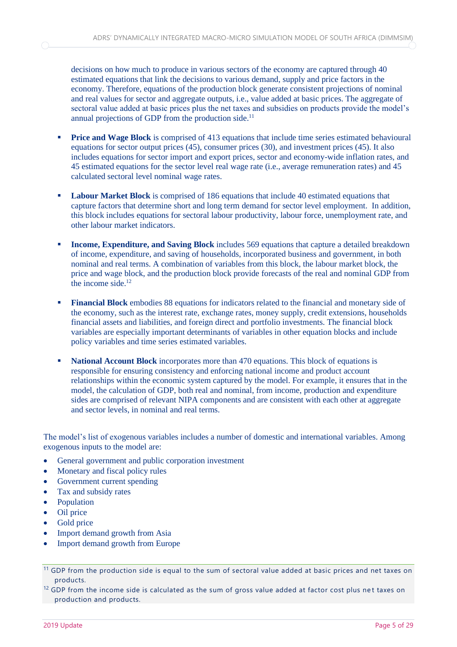decisions on how much to produce in various sectors of the economy are captured through 40 estimated equations that link the decisions to various demand, supply and price factors in the economy. Therefore, equations of the production block generate consistent projections of nominal and real values for sector and aggregate outputs, i.e., value added at basic prices. The aggregate of sectoral value added at basic prices plus the net taxes and subsidies on products provide the model's annual projections of GDP from the production side.<sup>11</sup>

- **Price and Wage Block** is comprised of 413 equations that include time series estimated behavioural equations for sector output prices (45), consumer prices (30), and investment prices (45). It also includes equations for sector import and export prices, sector and economy-wide inflation rates, and 45 estimated equations for the sector level real wage rate (i.e., average remuneration rates) and 45 calculated sectoral level nominal wage rates.
- **Labour Market Block** is comprised of 186 equations that include 40 estimated equations that capture factors that determine short and long term demand for sector level employment. In addition, this block includes equations for sectoral labour productivity, labour force, unemployment rate, and other labour market indicators.
- **Income, Expenditure, and Saving Block** includes 569 equations that capture a detailed breakdown of income, expenditure, and saving of households, incorporated business and government, in both nominal and real terms. A combination of variables from this block, the labour market block, the price and wage block, and the production block provide forecasts of the real and nominal GDP from the income side.<sup>12</sup>
- **Financial Block** embodies 88 equations for indicators related to the financial and monetary side of the economy, such as the interest rate, exchange rates, money supply, credit extensions, households financial assets and liabilities, and foreign direct and portfolio investments. The financial block variables are especially important determinants of variables in other equation blocks and include policy variables and time series estimated variables.
- **National Account Block** incorporates more than 470 equations. This block of equations is responsible for ensuring consistency and enforcing national income and product account relationships within the economic system captured by the model. For example, it ensures that in the model, the calculation of GDP, both real and nominal, from income, production and expenditure sides are comprised of relevant NIPA components and are consistent with each other at aggregate and sector levels, in nominal and real terms.

The model's list of exogenous variables includes a number of domestic and international variables. Among exogenous inputs to the model are:

- General government and public corporation investment
- Monetary and fiscal policy rules
- Government current spending
- Tax and subsidy rates
- Population
- Oil price
- Gold price
- Import demand growth from Asia
- Import demand growth from Europe

 $12$  GDP from the income side is calculated as the sum of gross value added at factor cost plus net taxes on production and products.

<sup>&</sup>lt;sup>11</sup> GDP from the production side is equal to the sum of sectoral value added at basic prices and net taxes on products.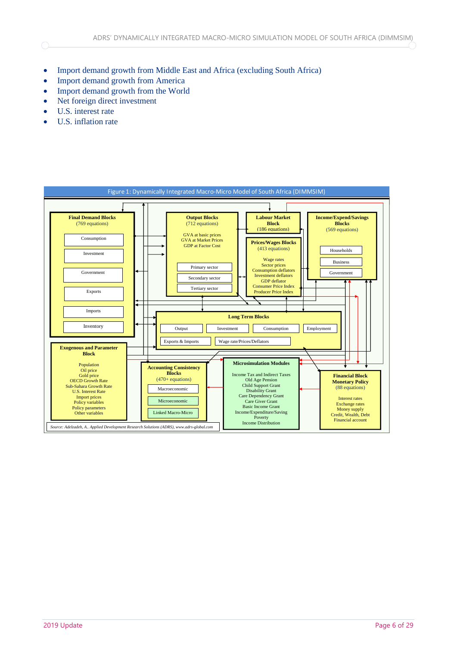- Import demand growth from Middle East and Africa (excluding South Africa)
- Import demand growth from America
- Import demand growth from the World
- Net foreign direct investment
- U.S. interest rate

∩

• U.S. inflation rate

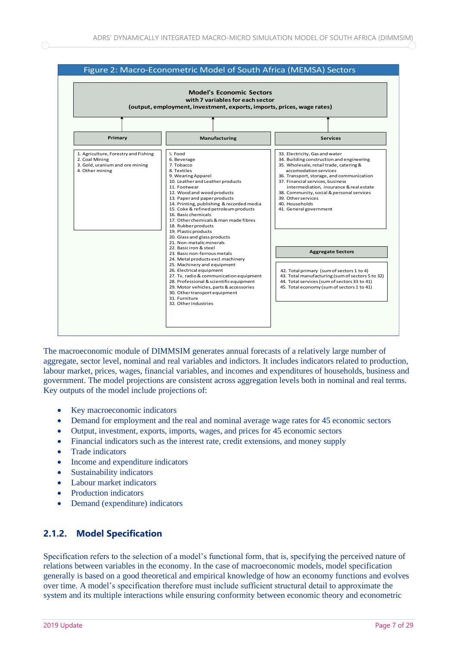

The macroeconomic module of DIMMSIM generates annual forecasts of a relatively large number of aggregate, sector level, nominal and real variables and indictors. It includes indicators related to production, labour market, prices, wages, financial variables, and incomes and expenditures of households, business and government. The model projections are consistent across aggregation levels both in nominal and real terms. Key outputs of the model include projections of:

- Key macroeconomic indicators
- Demand for employment and the real and nominal average wage rates for 45 economic sectors
- Output, investment, exports, imports, wages, and prices for 45 economic sectors
- Financial indicators such as the interest rate, credit extensions, and money supply
- Trade indicators
- Income and expenditure indicators
- Sustainability indicators
- Labour market indicators
- Production indicators
- <span id="page-9-0"></span>• Demand (expenditure) indicators

## **2.1.2. Model Specification**

Specification refers to the selection of a model's functional form, that is, specifying the perceived nature of relations between variables in the economy. In the case of macroeconomic models, model specification generally is based on a good theoretical and empirical knowledge of how an economy functions and evolves over time. A model's specification therefore must include sufficient structural detail to approximate the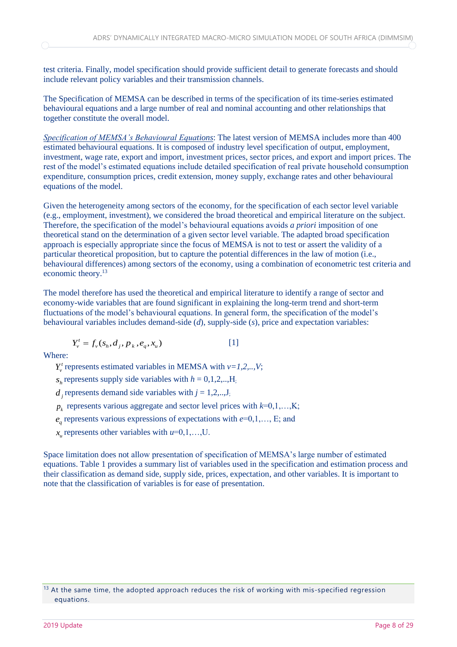test criteria. Finally, model specification should provide sufficient detail to generate forecasts and should include relevant policy variables and their transmission channels.

The Specification of MEMSA can be described in terms of the specification of its time-series estimated behavioural equations and a large number of real and nominal accounting and other relationships that together constitute the overall model.

*Specification of MEMSA's Behavioural Equations*: The latest version of MEMSA includes more than 400 estimated behavioural equations. It is composed of industry level specification of output, employment, investment, wage rate, export and import, investment prices, sector prices, and export and import prices. The rest of the model's estimated equations include detailed specification of real private household consumption expenditure, consumption prices, credit extension, money supply, exchange rates and other behavioural equations of the model.

Given the heterogeneity among sectors of the economy, for the specification of each sector level variable (e.g., employment, investment), we considered the broad theoretical and empirical literature on the subject. Therefore, the specification of the model's behavioural equations avoids *a priori* imposition of one theoretical stand on the determination of a given sector level variable. The adapted broad specification approach is especially appropriate since the focus of MEMSA is not to test or assert the validity of a particular theoretical proposition, but to capture the potential differences in the law of motion (i.e., behavioural differences) among sectors of the economy, using a combination of econometric test criteria and economic theory.<sup>13</sup>

The model therefore has used the theoretical and empirical literature to identify a range of sector and economy-wide variables that are found significant in explaining the long-term trend and short-term fluctuations of the model's behavioural equations. In general form, the specification of the model's behavioural variables includes demand-side (*d*), supply-side (*s*), price and expectation variables:

$$
Y_{\nu}^{t} = f_{\nu}(s_h, d_j, p_k, e_q, x_u)
$$
 [1]

Where:

 $Y_v^t$  represents estimated variables in MEMSA with  $v=1,2,..,V;$ 

 $s_h$  represents supply side variables with  $h = 0, 1, 2, \dots, H$ ;

- $d_j$  represents demand side variables with  $j = 1, 2, \ldots, J$ ;
- $p_k$  represents various aggregate and sector level prices with  $k=0,1,...,K;$
- $e_q$  represents various expressions of expectations with  $e=0,1,..., E$ ; and
- $x_u$  represents other variables with  $u=0,1,...,U$ .

Space limitation does not allow presentation of specification of MEMSA's large number of estimated equations. Table 1 provides a summary list of variables used in the specification and estimation process and their classification as demand side, supply side, prices, expectation, and other variables. It is important to note that the classification of variables is for ease of presentation.

<sup>&</sup>lt;sup>13</sup> At the same time, the adopted approach reduces the risk of working with mis-specified regression equations.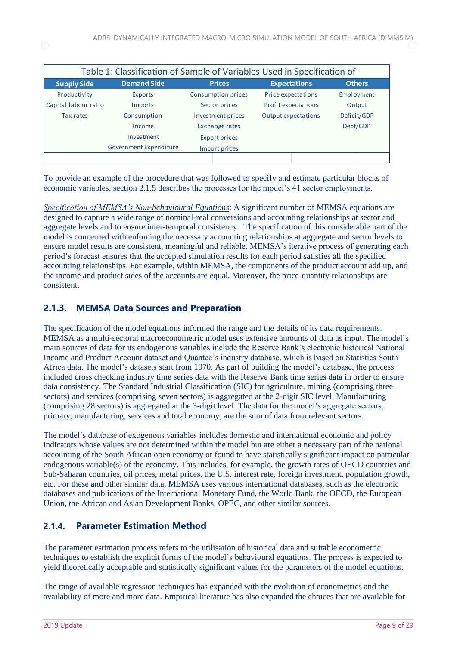| Table 1: Classification of Sample of Variables Used in Specification of |                    |                    |                     |               |  |  |  |  |
|-------------------------------------------------------------------------|--------------------|--------------------|---------------------|---------------|--|--|--|--|
| <b>Supply Side</b>                                                      | <b>Demand Side</b> | <b>Prices</b>      | <b>Expectations</b> | <b>Others</b> |  |  |  |  |
| Productivity                                                            | Exports            | Consumption prices | Price expectations  | Employment    |  |  |  |  |
| Capital labour ratio                                                    | Imports            | Sector prices      | Profit expectations | Output        |  |  |  |  |
| Tax rates                                                               | Consumption        | Investment prices  | Output expectations | Deficit/GDP   |  |  |  |  |
|                                                                         | Income             | Exchange rates     |                     | Debt/GDP      |  |  |  |  |
|                                                                         | Investment         | Export prices      |                     |               |  |  |  |  |
| Government Expenditure                                                  |                    | Import prices      |                     |               |  |  |  |  |
|                                                                         |                    |                    |                     |               |  |  |  |  |

To provide an example of the procedure that was followed to specify and estimate particular blocks of economic variables, section 2.1.5 describes the processes for the model's 41 sector employments.

*Specification of MEMSA's Non-behavioural Equations*: A significant number of MEMSA equations are designed to capture a wide range of nominal-real conversions and accounting relationships at sector and aggregate levels and to ensure inter-temporal consistency. The specification of this considerable part of the model is concerned with enforcing the necessary accounting relationships at aggregate and sector levels to ensure model results are consistent, meaningful and reliable. MEMSA's iterative process of generating each period's forecast ensures that the accepted simulation results for each period satisfies all the specified accounting relationships. For example, within MEMSA, the components of the product account add up, and the income and product sides of the accounts are equal. Moreover, the price-quantity relationships are consistent.

## <span id="page-11-0"></span>**2.1.3. MEMSA Data Sources and Preparation**

The specification of the model equations informed the range and the details of its data requirements. MEMSA as a multi-sectoral macroeconometric model uses extensive amounts of data as input. The model's main sources of data for its endogenous variables include the Reserve Bank's electronic historical National Income and Product Account dataset and Quantec's industry database, which is based on Statistics South Africa data. The model's datasets start from 1970. As part of building the model's database, the process included cross checking industry time series data with the Reserve Bank time series data in order to ensure data consistency. The Standard Industrial Classification (SIC) for agriculture, mining (comprising three sectors) and services (comprising seven sectors) is aggregated at the 2-digit SIC level. Manufacturing (comprising 28 sectors) is aggregated at the 3-digit level. The data for the model's aggregate sectors, primary, manufacturing, services and total economy, are the sum of data from relevant sectors.

The model's database of exogenous variables includes domestic and international economic and policy indicators whose values are not determined within the model but are either a necessary part of the national accounting of the South African open economy or found to have statistically significant impact on particular endogenous variable(s) of the economy. This includes, for example, the growth rates of OECD countries and Sub-Saharan countries, oil prices, metal prices, the U.S. interest rate, foreign investment, population growth, etc. For these and other similar data, MEMSA uses various international databases, such as the electronic databases and publications of the International Monetary Fund, the World Bank, the OECD, the European Union, the African and Asian Development Banks, OPEC, and other similar sources.

## <span id="page-11-1"></span>**2.1.4. Parameter Estimation Method**

The parameter estimation process refers to the utilisation of historical data and suitable econometric techniques to establish the explicit forms of the model's behavioural equations. The process is expected to yield theoretically acceptable and statistically significant values for the parameters of the model equations.

The range of available regression techniques has expanded with the evolution of econometrics and the availability of more and more data. Empirical literature has also expanded the choices that are available for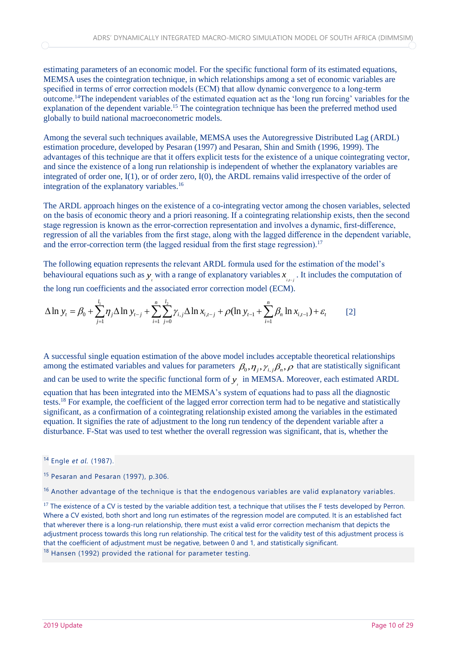estimating parameters of an economic model. For the specific functional form of its estimated equations, MEMSA uses the cointegration technique, in which relationships among a set of economic variables are specified in terms of error correction models (ECM) that allow dynamic convergence to a long-term outcome.<sup>14</sup>The independent variables of the estimated equation act as the 'long run forcing' variables for the explanation of the dependent variable.<sup>15</sup> The cointegration technique has been the preferred method used globally to build national macroeconometric models.

Among the several such techniques available, MEMSA uses the Autoregressive Distributed Lag (ARDL) estimation procedure, developed by Pesaran (1997) and Pesaran, Shin and Smith (1996, 1999). The advantages of this technique are that it offers explicit tests for the existence of a unique cointegrating vector, and since the existence of a long run relationship is independent of whether the explanatory variables are integrated of order one, I(1), or of order zero, I(0), the ARDL remains valid irrespective of the order of integration of the explanatory variables.<sup>16</sup>

The ARDL approach hinges on the existence of a co-integrating vector among the chosen variables, selected on the basis of economic theory and a priori reasoning. If a cointegrating relationship exists, then the second stage regression is known as the error-correction representation and involves a dynamic, first-difference, regression of all the variables from the first stage, along with the lagged difference in the dependent variable, and the error-correction term (the lagged residual from the first stage regression).<sup>17</sup>

The following equation represents the relevant ARDL formula used for the estimation of the model's The following equation represents the relevant ARDL formula used for the estimation of the model's behavioural equations such as  $y_i$  with a range of explanatory variables  $x_{i,j}$ . It includes the computation of the long

the long run coefficients and the associated error correction model (ECM).  
\n
$$
\Delta \ln y_t = \beta_0 + \sum_{j=1}^{l_1} \eta_j \Delta \ln y_{t-j} + \sum_{i=1}^{n} \sum_{j=0}^{l_2} \gamma_{i,j} \Delta \ln x_{i,t-j} + \rho (\ln y_{t-1} + \sum_{i=1}^{n} \beta_n \ln x_{i,t-1}) + \varepsilon_t
$$
\n[2]

A successful single equation estimation of the above model includes acceptable theoretical relationships among the estimated variables and values for parameters  $\beta_0, \eta_j, \gamma_{i,j} \beta_n, \rho$  that are statistically significant and can be used to write the specific functional form of  $y_i$  in MEMSA. Moreover, each estimated ARDL equation that has been integrated into the MEMSA's system of equations had to pass all the diagnostic tests.<sup>18</sup> For example, the coefficient of the lagged error correction term had to be negative and statistically significant, as a confirmation of a cointegrating relationship existed among the variables in the estimated equation. It signifies the rate of adjustment to the long run tendency of the dependent variable after a disturbance. F-Stat was used to test whether the overall regression was significant, that is, whether the

<sup>14</sup> Engle *et al.* (1987).

<sup>15</sup> Pesaran and Pesaran (1997), p.306.

<sup>&</sup>lt;sup>16</sup> Another advantage of the technique is that the endogenous variables are valid explanatory variables.

<sup>&</sup>lt;sup>17</sup> The existence of a CV is tested by the variable addition test, a technique that utilises the F tests developed by Perron. Where a CV existed, both short and long run estimates of the regression model are computed. It is an established fact that wherever there is a long-run relationship, there must exist a valid error correction mechanism that depicts the adjustment process towards this long run relationship. The critical test for the validity test of this adjustment process is that the coefficient of adjustment must be negative, between 0 and 1, and statistically significant. <sup>18</sup> Hansen (1992) provided the rational for parameter testing.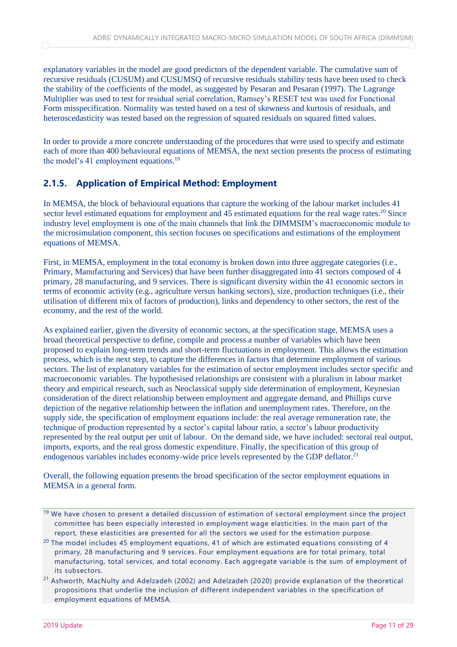explanatory variables in the model are good predictors of the dependent variable. The cumulative sum of recursive residuals (CUSUM) and CUSUMSQ of recursive residuals stability tests have been used to check the stability of the coefficients of the model, as suggested by Pesaran and Pesaran (1997). The Lagrange Multiplier was used to test for residual serial correlation, Ramsey's RESET test was used for Functional Form misspecification. Normality was tested based on a test of skewness and kurtosis of residuals, and heteroscedasticity was tested based on the regression of squared residuals on squared fitted values.

In order to provide a more concrete understanding of the procedures that were used to specify and estimate each of more than 400 behavioural equations of MEMSA, the next section presents the process of estimating the model's 41 employment equations.<sup>19</sup>

## <span id="page-13-0"></span>**2.1.5. Application of Empirical Method: Employment**

In MEMSA, the block of behavioural equations that capture the working of the labour market includes 41 sector level estimated equations for employment and 45 estimated equations for the real wage rates.<sup>20</sup> Since industry level employment is one of the main channels that link the DIMMSIM's macroeconomic module to the microsimulation component, this section focuses on specifications and estimations of the employment equations of MEMSA.

First, in MEMSA, employment in the total economy is broken down into three aggregate categories (i.e., Primary, Manufacturing and Services) that have been further disaggregated into 41 sectors composed of 4 primary, 28 manufacturing, and 9 services. There is significant diversity within the 41 economic sectors in terms of economic activity (e.g., agriculture versus banking sectors), size, production techniques (i.e., their utilisation of different mix of factors of production), links and dependency to other sectors, the rest of the economy, and the rest of the world.

As explained earlier, given the diversity of economic sectors, at the specification stage, MEMSA uses a broad theoretical perspective to define, compile and process a number of variables which have been proposed to explain long-term trends and short-term fluctuations in employment. This allows the estimation process, which is the next step, to capture the differences in factors that determine employment of various sectors. The list of explanatory variables for the estimation of sector employment includes sector specific and macroeconomic variables. The hypothesised relationships are consistent with a pluralism in labour market theory and empirical research, such as Neoclassical supply side determination of employment, Keynesian consideration of the direct relationship between employment and aggregate demand, and Phillips curve depiction of the negative relationship between the inflation and unemployment rates. Therefore, on the supply side, the specification of employment equations include: the real average remuneration rate, the technique of production represented by a sector's capital labour ratio, a sector's labour productivity represented by the real output per unit of labour. On the demand side, we have included: sectoral real output, imports, exports, and the real gross domestic expenditure. Finally, the specification of this group of endogenous variables includes economy-wide price levels represented by the GDP deflator.<sup>21</sup>

Overall, the following equation presents the broad specification of the sector employment equations in MEMSA in a general form.

 $19$  We have chosen to present a detailed discussion of estimation of sectoral employment since the project committee has been especially interested in employment wage elasticities. In the main part of the report, these elasticities are presented for all the sectors we used for the estimation purpose.

<sup>&</sup>lt;sup>20</sup> The model includes 45 employment equations, 41 of which are estimated equations consisting of 4 primary, 28 manufacturing and 9 services. Four employment equations are for total primary, total manufacturing, total services, and total economy. Each aggregate variable is the sum of employment of its subsectors.

<sup>21</sup> Ashworth, MacNulty and Adelzadeh (2002) and Adelzadeh (2020) provide explanation of the theoretical propositions that underlie the inclusion of different independent variables in the specification of employment equations of MEMSA.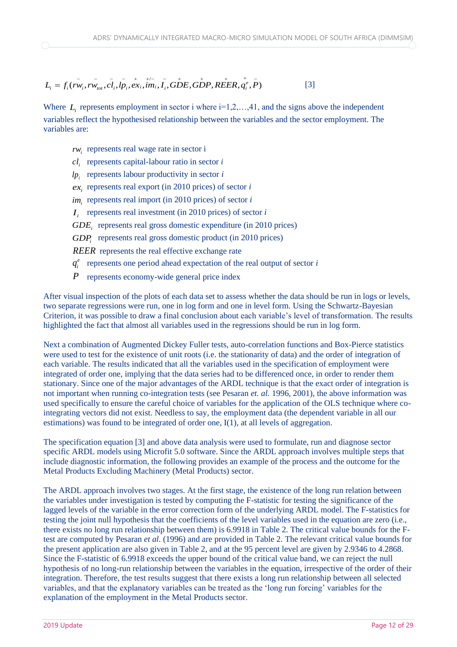## /  $L_i = f_i(rw_i, rw_{tot}, cl_i, lp_i, ex_i, im_i, I_i, GDE, GDP, REER, a_i^e, P)$ [3]

Where  $L_i$  represents employment in sector i where  $i=1,2,\ldots,41$ , and the signs above the independent variables reflect the hypothesised relationship between the variables and the sector employment. The variables are:

- $rw_i$  represents real wage rate in sector i
- $c_l$  represents capital-labour ratio in sector *i*
- $lp_i$  represents labour productivity in sector *i*
- $ex_i$  represents real export (in 2010 prices) of sector *i*
- $im_i$  represents real import (in 2010 prices) of sector *i*
- $I_i$  represents real investment (in 2010 prices) of sector *i*
- *GDE<sup>i</sup>* represents real gross domestic expenditure (in 2010 prices)
- *GDP<sup>i</sup>* represents real gross domestic product (in 2010 prices)

*REER* represents the real effective exchange rate

- $q_i^e$  represents one period ahead expectation of the real output of sector *i*
- *P* represents economy-wide general price index

After visual inspection of the plots of each data set to assess whether the data should be run in logs or levels, two separate regressions were run, one in log form and one in level form. Using the Schwartz-Bayesian Criterion, it was possible to draw a final conclusion about each variable's level of transformation. The results highlighted the fact that almost all variables used in the regressions should be run in log form.

Next a combination of Augmented Dickey Fuller tests, auto-correlation functions and Box-Pierce statistics were used to test for the existence of unit roots (i.e. the stationarity of data) and the order of integration of each variable. The results indicated that all the variables used in the specification of employment were integrated of order one, implying that the data series had to be differenced once, in order to render them stationary. Since one of the major advantages of the ARDL technique is that the exact order of integration is not important when running co-integration tests (see Pesaran *et. al.* 1996, 2001), the above information was used specifically to ensure the careful choice of variables for the application of the OLS technique where cointegrating vectors did not exist. Needless to say, the employment data (the dependent variable in all our estimations) was found to be integrated of order one,  $I(1)$ , at all levels of aggregation.

The specification equation [3] and above data analysis were used to formulate, run and diagnose sector specific ARDL models using Microfit 5.0 software. Since the ARDL approach involves multiple steps that include diagnostic information, the following provides an example of the process and the outcome for the Metal Products Excluding Machinery (Metal Products) sector.

The ARDL approach involves two stages. At the first stage, the existence of the long run relation between the variables under investigation is tested by computing the F-statistic for testing the significance of the lagged levels of the variable in the error correction form of the underlying ARDL model. The F-statistics for testing the joint null hypothesis that the coefficients of the level variables used in the equation are zero (i.e., there exists no long run relationship between them) is 6.9918 in Table 2. The critical value bounds for the Ftest are computed by Pesaran *et al.* (1996) and are provided in Table 2. The relevant critical value bounds for the present application are also given in Table 2, and at the 95 percent level are given by 2.9346 to 4.2868. Since the F-statistic of 6.9918 exceeds the upper bound of the critical value band, we can reject the null hypothesis of no long-run relationship between the variables in the equation, irrespective of the order of their integration. Therefore, the test results suggest that there exists a long run relationship between all selected variables, and that the explanatory variables can be treated as the 'long run forcing' variables for the explanation of the employment in the Metal Products sector.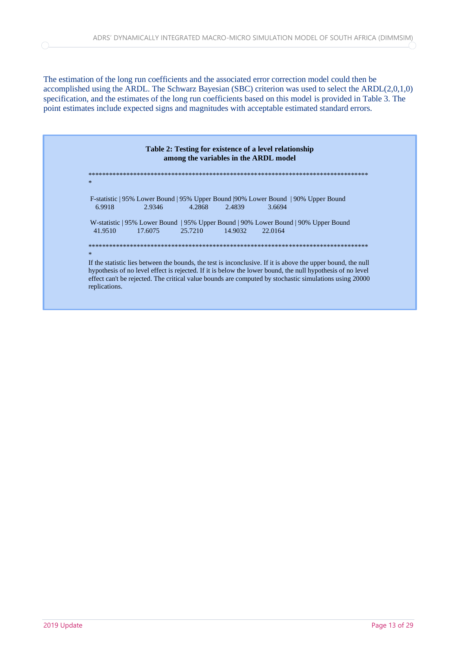The estimation of the long run coefficients and the associated error correction model could then be accomplished using the ARDL. The Schwarz Bayesian (SBC) criterion was used to select the ARDL(2,0,1,0) specification, and the estimates of the long run coefficients based on this model is provided in Table 3. The point estimates include expected signs and magnitudes with acceptable estimated standard errors.

| Table 2: Testing for existence of a level relationship<br>among the variables in the ARDL model |                                                                                                                                                                                                                                                                                                                                                       |  |  |  |  |  |  |
|-------------------------------------------------------------------------------------------------|-------------------------------------------------------------------------------------------------------------------------------------------------------------------------------------------------------------------------------------------------------------------------------------------------------------------------------------------------------|--|--|--|--|--|--|
|                                                                                                 |                                                                                                                                                                                                                                                                                                                                                       |  |  |  |  |  |  |
|                                                                                                 | $\ast$                                                                                                                                                                                                                                                                                                                                                |  |  |  |  |  |  |
|                                                                                                 | F-statistic   95% Lower Bound   95% Upper Bound   90% Lower Bound   90% Upper Bound<br>4.2868<br>2.9346<br>2.4839<br>3.6694<br>6.9918                                                                                                                                                                                                                 |  |  |  |  |  |  |
|                                                                                                 | W-statistic   95% Lower Bound   95% Upper Bound   90% Lower Bound   90% Upper Bound<br>22.0164<br>41.9510<br>25.7210<br>14.9032<br>17.6075                                                                                                                                                                                                            |  |  |  |  |  |  |
|                                                                                                 | $\ast$                                                                                                                                                                                                                                                                                                                                                |  |  |  |  |  |  |
|                                                                                                 | If the statistic lies between the bounds, the test is inconclusive. If it is above the upper bound, the null<br>hypothesis of no level effect is rejected. If it is below the lower bound, the null hypothesis of no level<br>effect can't be rejected. The critical value bounds are computed by stochastic simulations using 20000<br>replications. |  |  |  |  |  |  |

 $\bigcirc$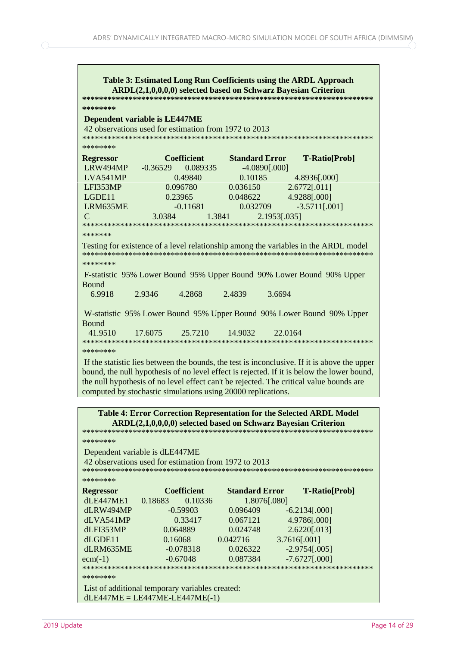| Table 3: Estimated Long Run Coefficients using the ARDL Approach<br>ARDL(2,1,0,0,0,0) selected based on Schwarz Bayesian Criterion           |                                                                                         |                        |                                                                                              |  |  |  |  |  |  |
|----------------------------------------------------------------------------------------------------------------------------------------------|-----------------------------------------------------------------------------------------|------------------------|----------------------------------------------------------------------------------------------|--|--|--|--|--|--|
| ********<br><b>Dependent variable is LE447ME</b><br>42 observations used for estimation from 1972 to 2013                                    |                                                                                         |                        |                                                                                              |  |  |  |  |  |  |
| ********                                                                                                                                     |                                                                                         |                        |                                                                                              |  |  |  |  |  |  |
| <b>Regressor</b>                                                                                                                             | <b>Coefficient</b>                                                                      | <b>Standard Error</b>  | <b>T-Ratio[Prob]</b>                                                                         |  |  |  |  |  |  |
| LRW494MP                                                                                                                                     | $-0.36529$<br>0.089335                                                                  | $-4.0890[.000]$        |                                                                                              |  |  |  |  |  |  |
| LVA541MP                                                                                                                                     | 0.49840                                                                                 | 0.10185                | 4.8936[.000]                                                                                 |  |  |  |  |  |  |
| LFI353MP                                                                                                                                     | 0.096780                                                                                | 0.036150               | 2.6772[.011]                                                                                 |  |  |  |  |  |  |
| LGDE11                                                                                                                                       | 0.23965                                                                                 | 0.048622               | 4.9288[.000]                                                                                 |  |  |  |  |  |  |
| LRM635ME                                                                                                                                     | $-0.11681$                                                                              | 0.032709               | $-3.5711[.001]$                                                                              |  |  |  |  |  |  |
| $\overline{C}$                                                                                                                               | 3.0384                                                                                  | 1.3841<br>2.1953[.035] |                                                                                              |  |  |  |  |  |  |
|                                                                                                                                              |                                                                                         |                        |                                                                                              |  |  |  |  |  |  |
| *******                                                                                                                                      |                                                                                         |                        |                                                                                              |  |  |  |  |  |  |
|                                                                                                                                              | Testing for existence of a level relationship among the variables in the ARDL model     |                        |                                                                                              |  |  |  |  |  |  |
| ********                                                                                                                                     |                                                                                         |                        |                                                                                              |  |  |  |  |  |  |
| F-statistic 95% Lower Bound 95% Upper Bound 90% Lower Bound 90% Upper<br>Bound                                                               |                                                                                         |                        |                                                                                              |  |  |  |  |  |  |
| 6.9918                                                                                                                                       | 2.9346<br>4.2868                                                                        | 2.4839<br>3.6694       |                                                                                              |  |  |  |  |  |  |
| W-statistic 95% Lower Bound 95% Upper Bound 90% Lower Bound 90% Upper<br><b>Bound</b><br>41.9510<br>17.6075<br>25.7210<br>14.9032<br>22.0164 |                                                                                         |                        |                                                                                              |  |  |  |  |  |  |
| ********                                                                                                                                     |                                                                                         |                        |                                                                                              |  |  |  |  |  |  |
|                                                                                                                                              |                                                                                         |                        | If the statistic lies between the bounds, the test is inconclusive. If it is above the upper |  |  |  |  |  |  |
|                                                                                                                                              |                                                                                         |                        | bound, the null hypothesis of no level effect is rejected. If it is below the lower bound,   |  |  |  |  |  |  |
|                                                                                                                                              | the null hypothesis of no level effect can't be rejected. The critical value bounds are |                        |                                                                                              |  |  |  |  |  |  |
|                                                                                                                                              | computed by stochastic simulations using 20000 replications.                            |                        |                                                                                              |  |  |  |  |  |  |
|                                                                                                                                              |                                                                                         |                        |                                                                                              |  |  |  |  |  |  |
|                                                                                                                                              | <b>Table 4: Error Correction Representation for the Selected ARDL Model</b>             |                        |                                                                                              |  |  |  |  |  |  |
|                                                                                                                                              | ARDL(2,1,0,0,0,0) selected based on Schwarz Bayesian Criterion                          |                        |                                                                                              |  |  |  |  |  |  |
| ********                                                                                                                                     |                                                                                         |                        |                                                                                              |  |  |  |  |  |  |
|                                                                                                                                              |                                                                                         |                        |                                                                                              |  |  |  |  |  |  |
| Dependent variable is dLE447ME<br>42 observations used for estimation from 1972 to 2013                                                      |                                                                                         |                        |                                                                                              |  |  |  |  |  |  |
| ********                                                                                                                                     |                                                                                         |                        |                                                                                              |  |  |  |  |  |  |
| <b>Regressor</b>                                                                                                                             | <b>Coefficient</b>                                                                      | <b>Standard Error</b>  | <b>T-Ratio[Prob]</b>                                                                         |  |  |  |  |  |  |
| dLE447ME1                                                                                                                                    | 0.18683<br>0.10336                                                                      | 1.8076[.080]           |                                                                                              |  |  |  |  |  |  |
| dLRW494MP                                                                                                                                    | $-0.59903$                                                                              | 0.096409               | $-6.2134[.000]$                                                                              |  |  |  |  |  |  |

dLVA541MP 0.33417 0.067121 4.9786[.000] dLFI353MP 0.064889 0.024748 2.6220[.013] dLGDE11 0.16068 0.042716 3.7616[.001] dLRM635ME -0.078318 0.026322 -2.9754[.005] ecm(-1) -0.67048 0.087384 -7.6727[.000]

\*\*\*\*\*\*\*\*\*\*\*\*\*\*\*\*\*\*\*\*\*\*\*\*\*\*\*\*\*\*\*\*\*\*\*\*\*\*\*\*\*\*\*\*\*\*\*\*\*\*\*\*\*\*\*\*\*\*\*\*\*\*\*\*\*\*\*\*\*

 $dLE447ME = LE447ME - LE447ME(-1)$ 

List of additional temporary variables created:

∩

\*\*\*\*\*\*\*\*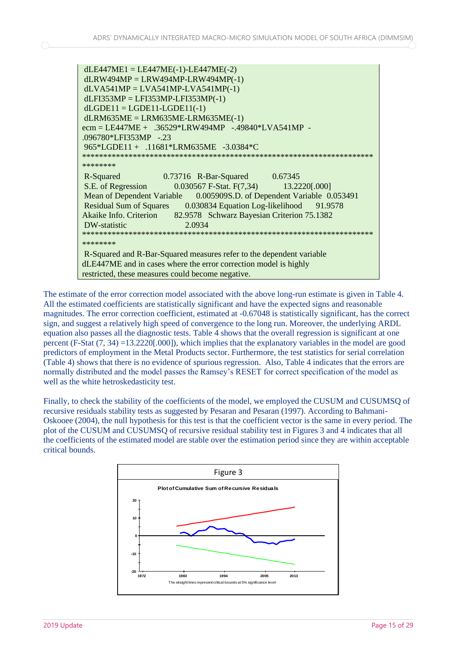The estimate of the error correction model associated with the above long-run estimate is given in Table 4. All the estimated coefficients are statistically significant and have the expected signs and reasonable magnitudes. The error correction coefficient, estimated at -0.67048 is statistically significant, has the correct sign, and suggest a relatively high speed of convergence to the long run. Moreover, the underlying ARDL equation also passes all the diagnostic tests. Table 4 shows that the overall regression is significant at one percent (F-Stat (7, 34) =13.2220[.000]), which implies that the explanatory variables in the model are good predictors of employment in the Metal Products sector. Furthermore, the test statistics for serial correlation (Table 4) shows that there is no evidence of spurious regression. Also, Table 4 indicates that the errors are normally distributed and the model passes the Ramsey's RESET for correct specification of the model as well as the white hetroskedasticity test.

Finally, to check the stability of the coefficients of the model, we employed the CUSUM and CUSUMSQ of recursive residuals stability tests as suggested by Pesaran and Pesaran (1997). According to Bahmani-Oskooee (2004), the null hypothesis for this test is that the coefficient vector is the same in every period. The plot of the CUSUM and CUSUMSQ of recursive residual stability test in Figures 3 and 4 indicates that all the coefficients of the estimated model are stable over the estimation period since they are within acceptable critical bounds.

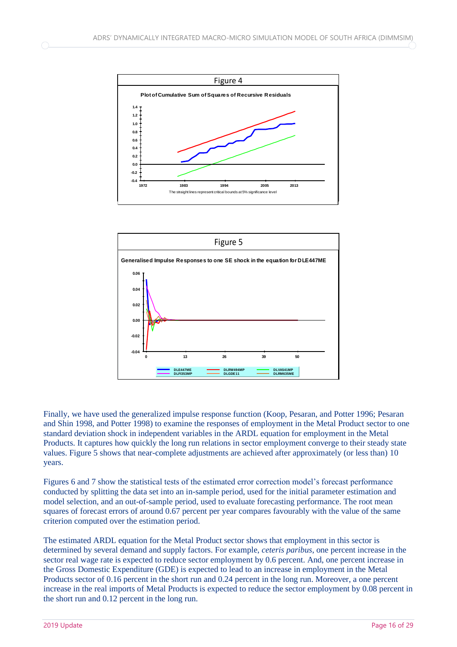



Finally, we have used the generalized impulse response function (Koop, Pesaran, and Potter 1996; Pesaran and Shin 1998, and Potter 1998) to examine the responses of employment in the Metal Product sector to one standard deviation shock in independent variables in the ARDL equation for employment in the Metal Products. It captures how quickly the long run relations in sector employment converge to their steady state values. Figure 5 shows that near-complete adjustments are achieved after approximately (or less than) 10 years.

Figures 6 and 7 show the statistical tests of the estimated error correction model's forecast performance conducted by splitting the data set into an in-sample period, used for the initial parameter estimation and model selection, and an out-of-sample period, used to evaluate forecasting performance. The root mean squares of forecast errors of around 0.67 percent per year compares favourably with the value of the same criterion computed over the estimation period.

The estimated ARDL equation for the Metal Product sector shows that employment in this sector is determined by several demand and supply factors. For example, *ceteris paribus*, one percent increase in the sector real wage rate is expected to reduce sector employment by 0.6 percent. And, one percent increase in the Gross Domestic Expenditure (GDE) is expected to lead to an increase in employment in the Metal Products sector of 0.16 percent in the short run and 0.24 percent in the long run. Moreover, a one percent increase in the real imports of Metal Products is expected to reduce the sector employment by 0.08 percent in the short run and 0.12 percent in the long run.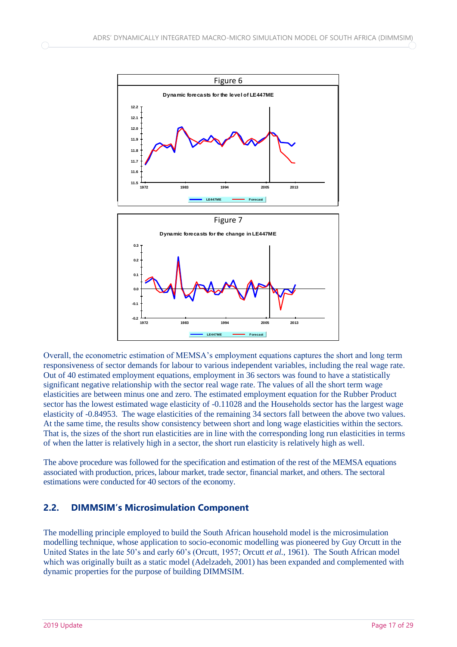

Overall, the econometric estimation of MEMSA's employment equations captures the short and long term responsiveness of sector demands for labour to various independent variables, including the real wage rate. Out of 40 estimated employment equations, employment in 36 sectors was found to have a statistically significant negative relationship with the sector real wage rate. The values of all the short term wage elasticities are between minus one and zero. The estimated employment equation for the Rubber Product sector has the lowest estimated wage elasticity of -0.11028 and the Households sector has the largest wage elasticity of -0.84953. The wage elasticities of the remaining 34 sectors fall between the above two values. At the same time, the results show consistency between short and long wage elasticities within the sectors. That is, the sizes of the short run elasticities are in line with the corresponding long run elasticities in terms of when the latter is relatively high in a sector, the short run elasticity is relatively high as well.

The above procedure was followed for the specification and estimation of the rest of the MEMSA equations associated with production, prices, labour market, trade sector, financial market, and others. The sectoral estimations were conducted for 40 sectors of the economy.

#### <span id="page-19-0"></span>**2.2. DIMMSIM's Microsimulation Component**

The modelling principle employed to build the South African household model is the microsimulation modelling technique, whose application to socio-economic modelling was pioneered by Guy Orcutt in the United States in the late 50's and early 60's (Orcutt, 1957; Orcutt *et al.*, 1961). The South African model which was originally built as a static model (Adelzadeh, 2001) has been expanded and complemented with dynamic properties for the purpose of building DIMMSIM.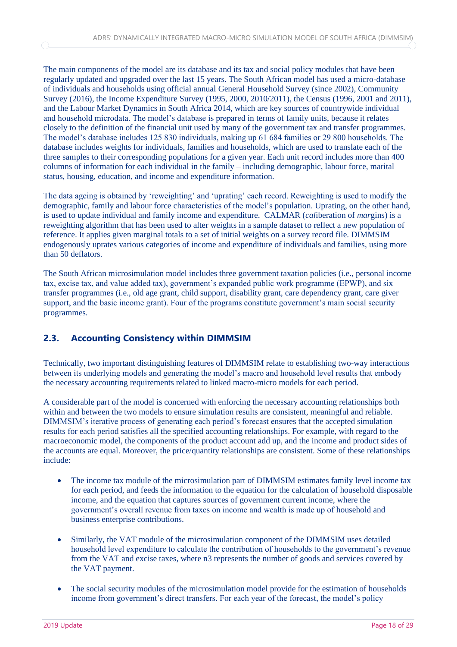The main components of the model are its database and its tax and social policy modules that have been regularly updated and upgraded over the last 15 years. The South African model has used a micro-database of individuals and households using official annual General Household Survey (since 2002), Community Survey (2016), the Income Expenditure Survey (1995, 2000, 2010/2011), the Census (1996, 2001 and 2011), and the Labour Market Dynamics in South Africa 2014, which are key sources of countrywide individual and household microdata. The model's database is prepared in terms of family units, because it relates closely to the definition of the financial unit used by many of the government tax and transfer programmes. The model's database includes 125 830 individuals, making up 61 684 families or 29 800 households. The database includes weights for individuals, families and households, which are used to translate each of the three samples to their corresponding populations for a given year. Each unit record includes more than 400 columns of information for each individual in the family – including demographic, labour force, marital status, housing, education, and income and expenditure information.

The data ageing is obtained by 'reweighting' and 'uprating' each record. Reweighting is used to modify the demographic, family and labour force characteristics of the model's population. Uprating, on the other hand, is used to update individual and family income and expenditure. CALMAR (*cal*iberation of *mar*gins) is a reweighting algorithm that has been used to alter weights in a sample dataset to reflect a new population of reference. It applies given marginal totals to a set of initial weights on a survey record file. DIMMSIM endogenously uprates various categories of income and expenditure of individuals and families, using more than 50 deflators.

The South African microsimulation model includes three government taxation policies (i.e., personal income tax, excise tax, and value added tax), government's expanded public work programme (EPWP), and six transfer programmes (i.e., old age grant, child support, disability grant, care dependency grant, care giver support, and the basic income grant). Four of the programs constitute government's main social security programmes.

## <span id="page-20-0"></span>**2.3. Accounting Consistency within DIMMSIM**

Technically, two important distinguishing features of DIMMSIM relate to establishing two-way interactions between its underlying models and generating the model's macro and household level results that embody the necessary accounting requirements related to linked macro-micro models for each period.

A considerable part of the model is concerned with enforcing the necessary accounting relationships both within and between the two models to ensure simulation results are consistent, meaningful and reliable. DIMMSIM's iterative process of generating each period's forecast ensures that the accepted simulation results for each period satisfies all the specified accounting relationships. For example, with regard to the macroeconomic model, the components of the product account add up, and the income and product sides of the accounts are equal. Moreover, the price/quantity relationships are consistent. Some of these relationships include:

- The income tax module of the microsimulation part of DIMMSIM estimates family level income tax for each period, and feeds the information to the equation for the calculation of household disposable income, and the equation that captures sources of government current income, where the government's overall revenue from taxes on income and wealth is made up of household and business enterprise contributions.
- Similarly, the VAT module of the microsimulation component of the DIMMSIM uses detailed household level expenditure to calculate the contribution of households to the government's revenue from the VAT and excise taxes, where n3 represents the number of goods and services covered by the VAT payment.
- The social security modules of the microsimulation model provide for the estimation of households income from government's direct transfers. For each year of the forecast, the model's policy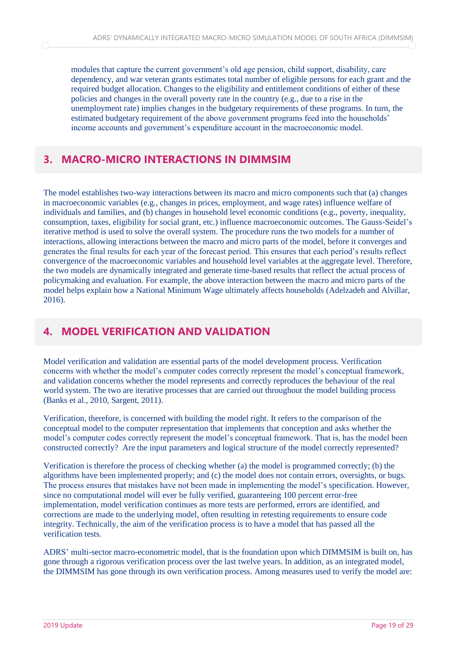modules that capture the current government's old age pension, child support, disability, care dependency, and war veteran grants estimates total number of eligible persons for each grant and the required budget allocation. Changes to the eligibility and entitlement conditions of either of these policies and changes in the overall poverty rate in the country (e.g., due to a rise in the unemployment rate) implies changes in the budgetary requirements of these programs. In turn, the estimated budgetary requirement of the above government programs feed into the households' income accounts and government's expenditure account in the macroeconomic model.

## <span id="page-21-0"></span>**3. MACRO-MICRO INTERACTIONS IN DIMMSIM**

The model establishes two-way interactions between its macro and micro components such that (a) changes in macroeconomic variables (e.g., changes in prices, employment, and wage rates) influence welfare of individuals and families, and (b) changes in household level economic conditions (e.g., poverty, inequality, consumption, taxes, eligibility for social grant, etc.) influence macroeconomic outcomes. The Gauss-Seidel's iterative method is used to solve the overall system. The procedure runs the two models for a number of interactions, allowing interactions between the macro and micro parts of the model, before it converges and generates the final results for each year of the forecast period. This ensures that each period's results reflect convergence of the macroeconomic variables and household level variables at the aggregate level. Therefore, the two models are dynamically integrated and generate time-based results that reflect the actual process of policymaking and evaluation. For example, the above interaction between the macro and micro parts of the model helps explain how a National Minimum Wage ultimately affects households (Adelzadeh and Alvillar, 2016).

## <span id="page-21-1"></span>**4. MODEL VERIFICATION AND VALIDATION**

Model verification and validation are essential parts of the model development process. Verification concerns with whether the model's computer codes correctly represent the model's conceptual framework, and validation concerns whether the model represents and correctly reproduces the behaviour of the real world system. The two are iterative processes that are carried out throughout the model building process (Banks et al., 2010, Sargent, 2011).

Verification, therefore, is concerned with building the model right. It refers to the comparison of the conceptual model to the computer representation that implements that conception and asks whether the model's computer codes correctly represent the model's conceptual framework. That is, has the model been constructed correctly? Are the input parameters and logical structure of the model correctly represented?

Verification is therefore the process of checking whether (a) the model is programmed correctly; (b) the algorithms have been implemented properly; and (c) the model does not contain errors, oversights, or bugs. The process ensures that mistakes have not been made in implementing the model's specification. However, since no computational model will ever be fully verified, guaranteeing 100 percent error-free implementation, model verification continues as more tests are performed, errors are identified, and corrections are made to the underlying model, often resulting in retesting requirements to ensure code integrity. Technically, the aim of the verification process is to have a model that has passed all the verification tests.

ADRS' multi-sector macro-econometric model, that is the foundation upon which DIMMSIM is built on, has gone through a rigorous verification process over the last twelve years. In addition, as an integrated model, the DIMMSIM has gone through its own verification process. Among measures used to verify the model are: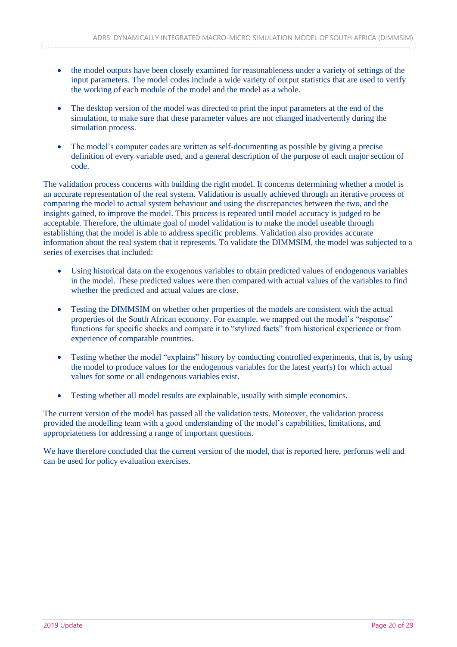- the model outputs have been closely examined for reasonableness under a variety of settings of the input parameters. The model codes include a wide variety of output statistics that are used to verify the working of each module of the model and the model as a whole.
- The desktop version of the model was directed to print the input parameters at the end of the simulation, to make sure that these parameter values are not changed inadvertently during the simulation process.
- The model's computer codes are written as self-documenting as possible by giving a precise definition of every variable used, and a general description of the purpose of each major section of code.

The validation process concerns with building the right model. It concerns determining whether a model is an accurate representation of the real system. Validation is usually achieved through an iterative process of comparing the model to actual system behaviour and using the discrepancies between the two, and the insights gained, to improve the model. This process is repeated until model accuracy is judged to be acceptable. Therefore, the ultimate goal of model validation is to make the model useable through establishing that the model is able to address specific problems. Validation also provides accurate information about the real system that it represents. To validate the DIMMSIM, the model was subjected to a series of exercises that included:

- Using historical data on the exogenous variables to obtain predicted values of endogenous variables in the model. These predicted values were then compared with actual values of the variables to find whether the predicted and actual values are close.
- Testing the DIMMSIM on whether other properties of the models are consistent with the actual properties of the South African economy. For example, we mapped out the model's "response" functions for specific shocks and compare it to "stylized facts" from historical experience or from experience of comparable countries.
- Testing whether the model "explains" history by conducting controlled experiments, that is, by using the model to produce values for the endogenous variables for the latest year(s) for which actual values for some or all endogenous variables exist.
- Testing whether all model results are explainable, usually with simple economics.

The current version of the model has passed all the validation tests. Moreover, the validation process provided the modelling team with a good understanding of the model's capabilities, limitations, and appropriateness for addressing a range of important questions.

We have therefore concluded that the current version of the model, that is reported here, performs well and can be used for policy evaluation exercises.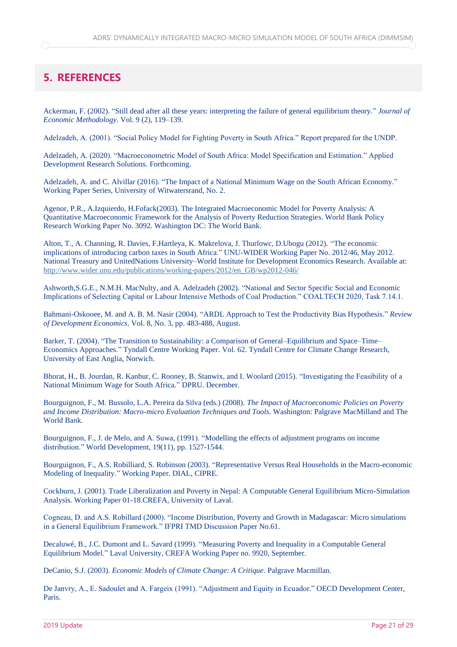# <span id="page-23-0"></span>**5. REFERENCES**

Ackerman, F. (2002). "Still dead after all these years: interpreting the failure of general equilibrium theory." *Journal of Economic Methodology*. Vol. 9 (2), 119–139.

Adelzadeh, A. (2001). "Social Policy Model for Fighting Poverty in South Africa." Report prepared for the UNDP.

Adelzadeh, A. (2020). "Macroeconometric Model of South Africa: Model Specification and Estimation." Applied Development Research Solutions. Forthcoming.

Adelzadeh, A. and C. Alvillar (2016). "The Impact of a National Minimum Wage on the South African Economy." Working Paper Series, University of Witwatersrand, No. 2.

Agenor, P.R., A.Izquierdo, H.Fofack(2003). The Integrated Macroeconomic Model for Poverty Analysis: A Quantitative Macroeconomic Framework for the Analysis of Poverty Reduction Strategies. World Bank Policy Research Working Paper No. 3092. Washington DC: The World Bank.

Alton, T., A. Channing, R. Davies, F.Hartleya, K. Makrelova, J. Thurlowc, D.Ubogu (2012). "The economic implications of introducing carbon taxes in South Africa." UNU-WIDER Working Paper No. 2012/46, May 2012. National Treasury and UnitedNations University–World Institute for Development Economics Research. Available at: [http://www.wider.unu.edu/publications/working-papers/2012/en\\_GB/wp2012-046/](http://www.wider.unu.edu/publications/working-papers/2012/en_GB/wp2012-046/)

Ashworth,S.G.E., N.M.H. MacNulty, and A. Adelzadeh (2002). "National and Sector Specific Social and Economic Implications of Selecting Capital or Labour Intensive Methods of Coal Production." COALTECH 2020, Task 7.14.1.

Bahmani-Oskooee, M. and A. B. M. Nasir (2004). "ARDL Approach to Test the Productivity Bias Hypothesis." *Review of Development Economics*. Vol. 8, No. 3, pp. 483-488, August.

Barker, T. (2004). "The Transition to Sustainability: a Comparison of General–Equilibrium and Space–Time– Economics Approaches." Tyndall Centre Working Paper. Vol. 62. Tyndall Centre for Climate Change Research, University of East Anglia, Norwich.

Bhorat, H., B. Jourdan, R. Kanbur, C. Rooney, B. Stanwix, and I. Woolard (2015). "Investigating the Feasibility of a National Minimum Wage for South Africa." DPRU. December.

Bourguignon, F., M. Bussolo, L.A. Pereira da Silva (eds.) (2008). *The Impact of Macroeconomic Policies on Poverty and Income Distribution: Macro-micro Evaluation Techniques and Tools*. Washington: Palgrave MacMilland and The World Bank.

Bourguignon, F., J. de Melo, and A. Suwa, (1991). "Modelling the effects of adjustment programs on income distribution." World Development, 19(11), pp. 1527-1544.

Bourguignon, F., A.S. Robilliard, S. Robinson (2003). "Representative Versus Real Households in the Macro-economic Modeling of Inequality." Working Paper. DIAL, CIPRE.

Cockburn, J. (2001). Trade Liberalization and Poverty in Nepal: A Computable General Equilibrium Micro-Simulation Analysis. Working Paper 01-18.CREFA, University of Laval.

Cogneau, D. and A.S. Robillard (2000). "Income Distribution, Poverty and Growth in Madagascar: Micro simulations in a General Equilibrium Framework." IFPRI TMD Discussion Paper No.61.

Decaluwé, B., J.C. Dumont and L. Savard (1999). "Measuring Poverty and Inequality in a Computable General Equilibrium Model." Laval University, CREFA Working Paper no. 9920, September.

DeCanio, S.J. (2003). *Economic Models of Climate Change: A Critique*. Palgrave Macmillan.

De Janvry, A., E. Sadoulet and A. Fargeix (1991). "Adjustment and Equity in Ecuador." OECD Development Center, Paris.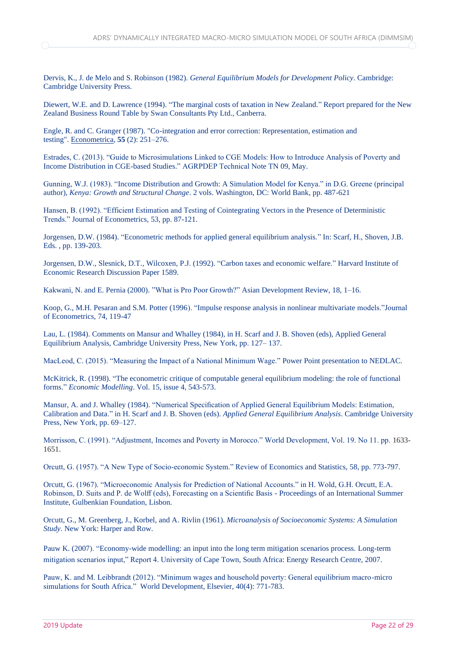Dervis, K., J. de Melo and S. Robinson (1982). *General Equilibrium Models for Development Policy*. Cambridge: Cambridge University Press.

Diewert, W.E. and D. Lawrence (1994). "The marginal costs of taxation in New Zealand." Report prepared for the New Zealand Business Round Table by Swan Consultants Pty Ltd., Canberra.

Engle, R. and C. Granger (1987). "Co-integration and error correction: Representation, estimation and testing". [Econometrica,](https://en.wikipedia.org/wiki/Econometrica) **55** (2): 251–276.

Estrades, C. (2013). "Guide to Microsimulations Linked to CGE Models: How to Introduce Analysis of Poverty and Income Distribution in CGE-based Studies." AGRPDEP Technical Note TN 09, May.

Gunning, W.J. (1983). "Income Distribution and Growth: A Simulation Model for Kenya." in D.G. Greene (principal author), *Kenya: Growth and Structural Change*. 2 vols. Washington, DC: World Bank, pp. 487-621

Hansen, B. (1992). "Efficient Estimation and Testing of Cointegrating Vectors in the Presence of Deterministic Trends." Journal of Econometrics, 53, pp. 87-121.

Jorgensen, D.W. (1984). "Econometric methods for applied general equilibrium analysis." In: Scarf, H., Shoven, J.B. Eds. , pp. 139-203.

Jorgensen, D.W., Slesnick, D.T., Wilcoxen, P.J. (1992). "Carbon taxes and economic welfare." Harvard Institute of Economic Research Discussion Paper 1589.

Kakwani, N. and E. Pernia (2000). "What is Pro Poor Growth?" Asian Development Review, 18, 1–16.

Koop, G., M.H. Pesaran and S.M. Potter (1996). "Impulse response analysis in nonlinear multivariate models."Journal of Econometrics, 74, 119-47

Lau, L. (1984). Comments on Mansur and Whalley (1984), in H. Scarf and J. B. Shoven (eds), Applied General Equilibrium Analysis, Cambridge University Press, New York, pp. 127– 137.

MacLeod, C. (2015). "Measuring the Impact of a National Minimum Wage." Power Point presentation to NEDLAC.

McKitrick, R. (1998). "The econometric critique of computable general equilibrium modeling: the role of functional forms." *Economic Modelling*. Vol. 15, issue 4, 543-573.

Mansur, A. and J. Whalley (1984). "Numerical Specification of Applied General Equilibrium Models: Estimation, Calibration and Data." in H. Scarf and J. B. Shoven (eds). *Applied General Equilibrium Analysis*. Cambridge University Press, New York, pp. 69–127.

Morrisson, C. (1991). "Adjustment, Incomes and Poverty in Morocco." World Development, Vol. 19. No 11. pp. 1633- 1651.

Orcutt, G. (1957). "A New Type of Socio-economic System." Review of Economics and Statistics, 58, pp. 773-797.

Orcutt, G. (1967). "Microeconomic Analysis for Prediction of National Accounts." in H. Wold, G.H. Orcutt, E.A. Robinson, D. Suits and P. de Wolff (eds), Forecasting on a Scientific Basis - Proceedings of an International Summer Institute, Gulbenkian Foundation, Lisbon.

Orcutt, G., M. Greenberg, J., Korbel, and A. Rivlin (1961). *Microanalysis of Socioeconomic Systems: A Simulation Study*. New York: Harper and Row.

Pauw K. (2007). "Economy-wide modelling: an input into the long term mitigation scenarios process. Long-term mitigation scenarios input," Report 4. University of Cape Town, South Africa: Energy Research Centre, 2007.

Pauw, K. and M. Leibbrandt (2012). "Minimum wages and household poverty: General equilibrium macro-micro simulations for South Africa." World Development, Elsevier, 40(4): 771-783.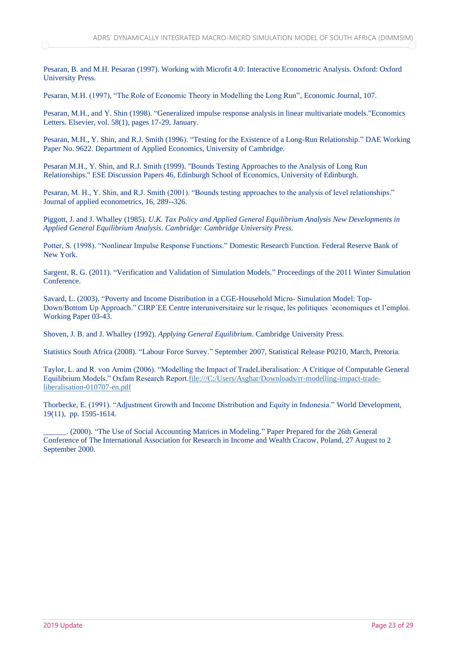Pesaran, B. and M.H. Pesaran (1997). Working with Microfit 4.0: Interactive Econometric Analysis. Oxford: Oxford University Press.

Pesaran, M.H. (1997), "The Role of Economic Theory in Modelling the Long Run", Economic Journal, 107.

Pesaran, M.H., and Y. Shin (1998). "Generalized impulse response analysis in linear multivariate models."Economics Letters. Elsevier, vol. 58(1), pages 17-29, January.

Pesaran, M.H., Y. Shin, and R.J. Smith (1996). "Testing for the Existence of a Long-Run Relationship." DAE Working Paper No. 9622. Department of Applied Economics, University of Cambridge.

Pesaran M.H., Y. Shin, and R.J. Smith (1999). "Bounds Testing Approaches to the Analysis of Long Run Relationships." ESE Discussion Papers 46, Edinburgh School of Economics, University of Edinburgh.

Pesaran, M. H., Y. Shin, and R.J. Smith (2001). "Bounds testing approaches to the analysis of level relationships." Journal of applied econometrics, 16, 289--326.

Piggott, J. and J. Whalley (1985). *U.K. Tax Policy and Applied General Equilibrium Analysis New Developments in Applied General Equilibrium Analysis. Cambridge: Cambridge University Press.*

Potter, S. (1998). "Nonlinear Impulse Response Functions." Domestic Research Function. Federal Reserve Bank of New York.

Sargent, R. G. (2011). "Verification and Validation of Simulation Models." Proceedings of the 2011 Winter Simulation Conference.

Savard, L. (2003). "Poverty and Income Distribution in a CGE-Household Micro- Simulation Model: Top-Down/Bottom Up Approach." CIRP´EE Centre interuniversitaire sur le risque, les politiques ´economiques et l'emploi. Working Paper 03-43.

Shoven, J. B. and J. Whalley (1992). *Applying General Equilibrium*. Cambridge University Press.

Statistics South Africa (2008). "Labour Force Survey." September 2007, Statistical Release P0210, March, Pretoria.

Taylor, L. and R. von Arnim (2006). "Modelling the Impact of TradeLiberalisation: A Critique of Computable General Equilibrium Models." Oxfam Research Report[.file:///C:/Users/Asghar/Downloads/rr-modelling-impact-trade](file:///C:/Users/Asghar/Downloads/rr-modelling-impact-trade-liberalisation-010707-en.pdf)[liberalisation-010707-en.pdf](file:///C:/Users/Asghar/Downloads/rr-modelling-impact-trade-liberalisation-010707-en.pdf)

Thorbecke, E. (1991). "Adjustment Growth and Income Distribution and Equity in Indonesia." World Development, 19(11), pp. 1595-1614.

\_\_\_\_\_\_. (2000). "The Use of Social Accounting Matrices in Modeling." Paper Prepared for the 26th General Conference of The International Association for Research in Income and Wealth Cracow, Poland, 27 August to 2 September 2000.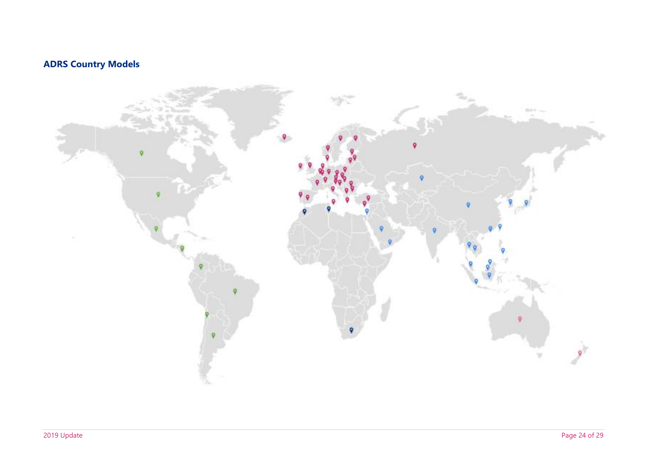# **ADRS Country Models**

<span id="page-26-0"></span>